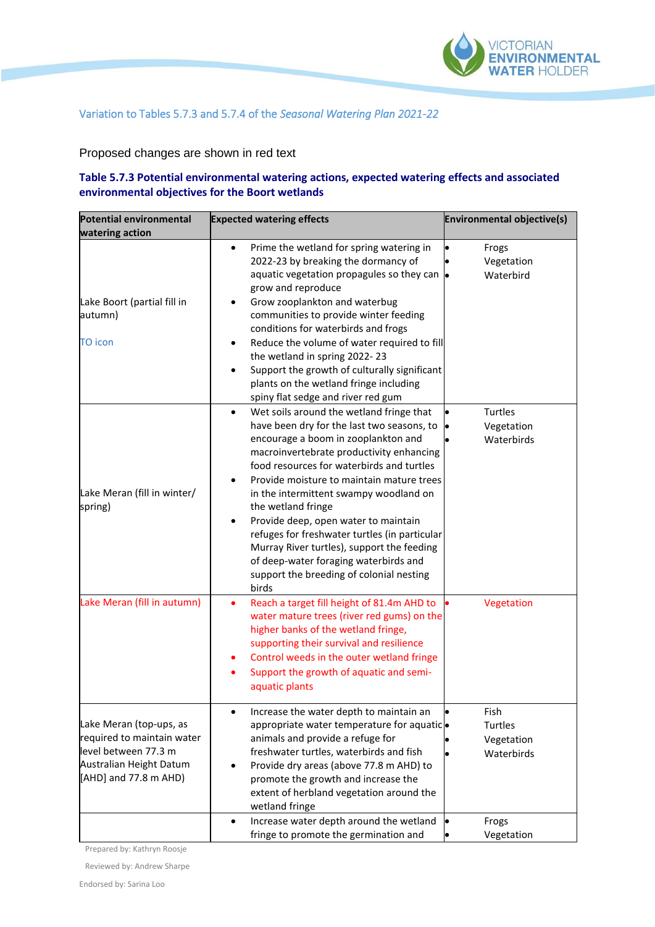

## Variation to Tables 5.7.3 and 5.7.4 of the *Seasonal Watering Plan 2021-22*

## Proposed changes are shown in red text

## **Table 5.7.3 Potential environmental watering actions, expected watering effects and associated environmental objectives for the Boort wetlands**

| <b>Potential environmental</b><br>watering action                                                                                 | <b>Expected watering effects</b>                                                                                                                                                                                                                                                                                                                                                                                                                                                                                                                                                                        | <b>Environmental objective(s)</b>                    |
|-----------------------------------------------------------------------------------------------------------------------------------|---------------------------------------------------------------------------------------------------------------------------------------------------------------------------------------------------------------------------------------------------------------------------------------------------------------------------------------------------------------------------------------------------------------------------------------------------------------------------------------------------------------------------------------------------------------------------------------------------------|------------------------------------------------------|
| Lake Boort (partial fill in<br>autumn)<br><b>TO icon</b>                                                                          | Prime the wetland for spring watering in<br>$\bullet$<br>2022-23 by breaking the dormancy of<br>aquatic vegetation propagules so they can $\bullet$<br>grow and reproduce<br>Grow zooplankton and waterbug<br>communities to provide winter feeding<br>conditions for waterbirds and frogs<br>Reduce the volume of water required to fill<br>the wetland in spring 2022-23<br>Support the growth of culturally significant<br>plants on the wetland fringe including<br>spiny flat sedge and river red gum                                                                                              | Frogs<br>Vegetation<br>Waterbird                     |
| Lake Meran (fill in winter/<br>spring)                                                                                            | Wet soils around the wetland fringe that<br>$\bullet$<br>have been dry for the last two seasons, to<br>encourage a boom in zooplankton and<br>macroinvertebrate productivity enhancing<br>food resources for waterbirds and turtles<br>Provide moisture to maintain mature trees<br>٠<br>in the intermittent swampy woodland on<br>the wetland fringe<br>Provide deep, open water to maintain<br>$\bullet$<br>refuges for freshwater turtles (in particular<br>Murray River turtles), support the feeding<br>of deep-water foraging waterbirds and<br>support the breeding of colonial nesting<br>birds | Turtles<br>Vegetation<br>Waterbirds                  |
| Lake Meran (fill in autumn)                                                                                                       | Reach a target fill height of 81.4m AHD to<br>٠<br>water mature trees (river red gums) on the<br>higher banks of the wetland fringe,<br>supporting their survival and resilience<br>Control weeds in the outer wetland fringe<br>٠<br>Support the growth of aquatic and semi-<br>$\bullet$<br>aquatic plants                                                                                                                                                                                                                                                                                            | Vegetation                                           |
| Lake Meran (top-ups, as<br>required to maintain water<br>level between 77.3 m<br>Australian Height Datum<br>[AHD] and 77.8 m AHD) | Increase the water depth to maintain an<br>appropriate water temperature for aquaticlo<br>animals and provide a refuge for<br>freshwater turtles, waterbirds and fish<br>Provide dry areas (above 77.8 m AHD) to<br>$\bullet$<br>promote the growth and increase the<br>extent of herbland vegetation around the<br>wetland fringe<br>Increase water depth around the wetland<br>$\bullet$                                                                                                                                                                                                              | Fish<br>Turtles<br>Vegetation<br>Waterbirds<br>Frogs |
|                                                                                                                                   | fringe to promote the germination and                                                                                                                                                                                                                                                                                                                                                                                                                                                                                                                                                                   | Vegetation                                           |

Prepared by: Kathryn Roosje

Reviewed by: Andrew Sharpe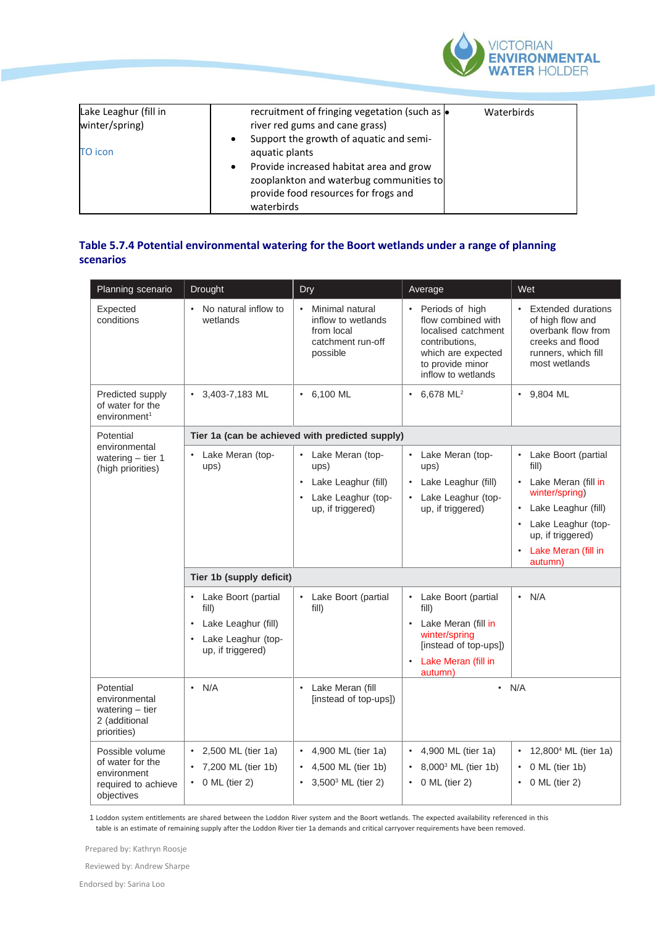

| Lake Leaghur (fill in<br>winter/spring) | recruitment of fringing vegetation (such as $\bullet$<br>river red gums and cane grass)                                                  | Waterbirds |
|-----------------------------------------|------------------------------------------------------------------------------------------------------------------------------------------|------------|
| <b>TO</b> icon                          | Support the growth of aquatic and semi-<br>aquatic plants                                                                                |            |
|                                         | Provide increased habitat area and grow<br>zooplankton and waterbug communities to<br>provide food resources for frogs and<br>waterbirds |            |

## **Table 5.7.4 Potential environmental watering for the Boort wetlands under a range of planning scenarios**

| Planning scenario                                                                       | Drought                                                                                                                                                             | Dry                                                                                                                            | Average                                                                                                                                                                                                              | Wet                                                                                                                                                                                      |  |
|-----------------------------------------------------------------------------------------|---------------------------------------------------------------------------------------------------------------------------------------------------------------------|--------------------------------------------------------------------------------------------------------------------------------|----------------------------------------------------------------------------------------------------------------------------------------------------------------------------------------------------------------------|------------------------------------------------------------------------------------------------------------------------------------------------------------------------------------------|--|
| Expected<br>conditions                                                                  | No natural inflow to<br>$\bullet$<br>wetlands                                                                                                                       | Minimal natural<br>inflow to wetlands<br>from local<br>catchment run-off<br>possible                                           | • Periods of high<br>flow combined with<br>localised catchment<br>contributions,<br>which are expected<br>to provide minor<br>inflow to wetlands                                                                     | • Extended durations<br>of high flow and<br>overbank flow from<br>creeks and flood<br>runners, which fill<br>most wetlands                                                               |  |
| Predicted supply<br>of water for the<br>environment <sup>1</sup>                        | $\cdot$ 3,403-7,183 ML                                                                                                                                              | $\cdot$ 6,100 ML                                                                                                               | $\cdot$ 6,678 ML <sup>2</sup>                                                                                                                                                                                        | $\cdot$ 9,804 ML                                                                                                                                                                         |  |
| Potential                                                                               | Tier 1a (can be achieved with predicted supply)                                                                                                                     |                                                                                                                                |                                                                                                                                                                                                                      |                                                                                                                                                                                          |  |
| environmental<br>watering $-$ tier 1<br>(high priorities)                               | Lake Meran (top-<br>ups)<br>Tier 1b (supply deficit)<br>Lake Boort (partial<br>fill)<br>Lake Leaghur (fill)<br>$\bullet$<br>Lake Leaghur (top-<br>up, if triggered) | • Lake Meran (top-<br>ups)<br>Lake Leaghur (fill)<br>Lake Leaghur (top-<br>up, if triggered)<br>• Lake Boort (partial<br>fill) | Lake Meran (top-<br>ups)<br>Lake Leaghur (fill)<br>Lake Leaghur (top-<br>up, if triggered)<br>• Lake Boort (partial<br>fill)<br>Lake Meran (fill in<br>winter/spring<br>[instead of top-ups])<br>Lake Meran (fill in | Lake Boort (partial<br>fill)<br>Lake Meran (fill in<br>winter/spring)<br>Lake Leaghur (fill)<br>Lake Leaghur (top-<br>up, if triggered)<br>Lake Meran (fill in<br>autumn)<br>$\cdot$ N/A |  |
| Potential<br>environmental<br>watering $-$ tier<br>2 (additional<br>priorities)         | N/A<br>٠                                                                                                                                                            | • Lake Meran (fill<br>[instead of top-ups])                                                                                    | autumn)<br>$\cdot$ N/A                                                                                                                                                                                               |                                                                                                                                                                                          |  |
| Possible volume<br>of water for the<br>environment<br>required to achieve<br>objectives | • 2,500 ML (tier 1a)<br>7,200 ML (tier 1b)<br>$\cdot$ 0 ML (tier 2)                                                                                                 | • 4,900 ML (tier 1a)<br>4,500 ML (tier 1b)<br>$3,500^3$ ML (tier 2)                                                            | • 4,900 ML (tier 1a)<br>8,000 <sup>3</sup> ML (tier 1b)<br>$0$ ML (tier 2)<br>$\bullet$                                                                                                                              | 12,800 <sup>4</sup> ML (tier 1a)<br>0 ML (tier 1b)<br>$\cdot$ 0 ML (tier 2)                                                                                                              |  |

1 Loddon system entitlements are shared between the Loddon River system and the Boort wetlands. The expected availability referenced in this table is an estimate of remaining supply after the Loddon River tier 1a demands and critical carryover requirements have been removed.

Prepared by: Kathryn Roosje

Reviewed by: Andrew Sharpe

Endorsed by: Sarina Loo